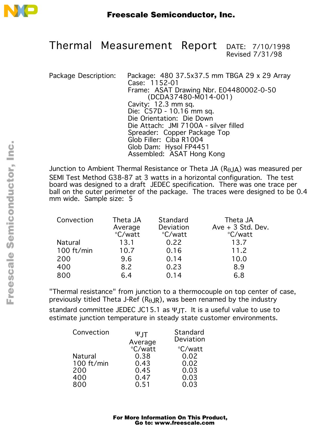

**Thermal Measurement Report** DATE: 7/10/1998 Revised 7/31/98

Package Description: Package: 480 37.5x37.5 mm TBGA 29 x 29 Array Case: 1152-01 Frame: ASAT Drawing Nbr. E04480002-0-50 (DCDA37480-M014-001) Cavity: 12.3 mm sq. Die: C57D - 10.16 mm sq. Die Orientation: Die Down Die Attach: JMI 7100A - silver filled Spreader: Copper Package Top Glob Filler: Ciba R1004 Glob Dam: Hysol FP4451 Assembled: ASAT Hong Kong

Junction to Ambient Thermal Resistance or Theta JA  $(R<sub>A</sub>,A<sub>A</sub>)$  was measured per SEMI Test Method G38-87 at 3 watts in a horizontal configuration. The test board was designed to a draft JEDEC specification. There was one trace per ball on the outer perimeter of the package. The traces were designed to be 0.4 mm wide. Sample size: 5

| Convection     | Theta JA | Standard  | Theta JA            |
|----------------|----------|-----------|---------------------|
|                | Average  | Deviation | $Ave + 3$ Std. Dev. |
|                | °C/watt  | °C/watt   | °C/watt             |
| <b>Natural</b> | 13.1     | 0.22      | 13.7                |
| 100 ft/min     | 10.7     | 0.16      | 11.2                |
| 200            | 9.6      | 0.14      | 10.0                |
| 400            | 8.2      | 0.23      | 8.9                 |
| 800            | 6.4      | 0.14      | 6.8                 |

"Thermal resistance" from junction to a thermocouple on top center of case, previously titled Theta J-Ref ( $R_{\theta}$ JR), was been renamed by the industry standard committee JEDEC JC15.1 as  $\Psi$ JT. It is a useful value to use to estimate junction temperature in steady state customer environments.

| Convection | $\Psi$ JT | Standard  |
|------------|-----------|-----------|
|            | Average   | Deviation |
|            | °C/watt   | °C/watt   |
| Natural    | 0.38      | 0.02      |
| 100 ft/min | 0.43      | 0.02      |
| 200        | 0.45      | 0.03      |
| 400        | 0.47      | 0.03      |
| 800        | 0.51      | 0.03      |

o  $\blacksquare$ d u  $\mathbf 0$ t o

r, I

 $\blacksquare$ 

.<br>ق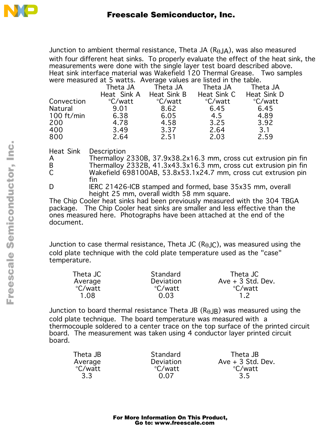

Junction to ambient thermal resistance, Theta JA  $(R_{\theta}$ JA), was also measured with four different heat sinks. To properly evaluate the effect of the heat sink, the measurements were done with the single layer test board described above. Heat sink interface material was Wakefield 120 Thermal Grease. Two samples were measured at 5 watts. Average values are listed in the table.

|                      | Theta JA    | Theta JA    | Theta JA    | Theta JA    |
|----------------------|-------------|-------------|-------------|-------------|
|                      | Heat Sink A | Heat Sink B | Heat Sink C | Heat Sink D |
| Convection           | °C/watt     | °C/watt     | °C/watt     | °C/watt     |
| <b>Natural</b>       | 9.01        | 8.62        | 6.45        | 6.45        |
| $100 \text{ ft/min}$ | 6.38        | 6.05        | 4.5         | 4.89        |
| 200                  | 4.78        | 4.58        | 3.25        | 3.92        |
| 400                  | 3.49        | 3.37        | 2.64        | 3.1         |
| 800                  | 2.64        | 2.51        | 2.03        | 2.59        |
|                      |             |             |             |             |

Heat Sink Description

- A Thermalloy 2330B, 37.9x38.2x16.3 mm, cross cut extrusion pin fin<br>B Thermalloy 2332B, 41.3x43.3x16.3 mm, cross cut extrusion pin fin B Thermalloy 2332B, 41.3x43.3x16.3 mm, cross cut extrusion pin fin<br>C Wakefield 698100AB, 53.8x53.1x24.7 mm, cross cut extrusion pin Wakefield 698100AB, 53.8x53.1x24.7 mm, cross cut extrusion pin fin
- D IERC 21426-ICB stamped and formed, base 35x35 mm, overall height 25 mm, overall width 58 mm square.

The Chip Cooler heat sinks had been previously measured with the 304 TBGA package. The Chip Cooler heat sinks are smaller and less effective than the ones measured here. Photographs have been attached at the end of the document.

Junction to case thermal resistance, Theta JC  $(R<sub>AJC</sub>)$ , was measured using the cold plate technique with the cold plate temperature used as the "case" temperature.

| Theta JC | Standard  | Theta JC            |
|----------|-----------|---------------------|
| Average  | Deviation | $Ave + 3$ Std. Dev. |
| °C/watt  | °C/watt   | °C/watt             |
| 1.08     | 0.03      | 12                  |

Junction to board thermal resistance Theta JB  $(R<sub>AJB</sub>)$  was measured using the cold plate technique. The board temperature was measured with a thermocouple soldered to a center trace on the top surface of the printed circuit board. The measurement was taken using 4 conductor layer printed circuit board.

| Theta JB | Standard  | Theta JB            |
|----------|-----------|---------------------|
| Average  | Deviation | $Ave + 3$ Std. Dev. |
| °C/watt  | °C/watt   | °C/watt             |
| 3.3      | 0.07      | 3.5                 |

 $\blacksquare$ 

.<br>ق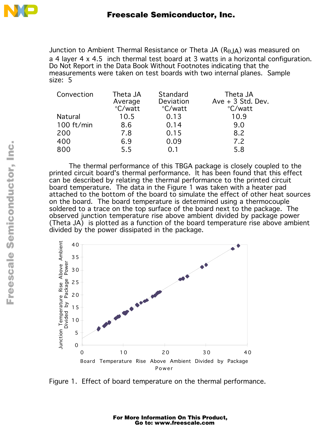

Junction to Ambient Thermal Resistance or Theta JA  $(R_{\theta}$ JA) was measured on a 4 layer 4 x 4.5 inch thermal test board at 3 watts in a horizontal configuration. **Do Not Report in the Data Book Without Footnotes indicating that the measurements were taken on test boards with two internal planes.** Sample size: 5

| Convection     | Theta JA<br>Average<br>°C/watt | Standard<br>Deviation<br>°C/watt | Theta JA<br>$Ave + 3$ Std. Dev.<br>°C/watt |
|----------------|--------------------------------|----------------------------------|--------------------------------------------|
| <b>Natural</b> | 10.5                           | 0.13                             | 10.9                                       |
| 100 ft/min     | 8.6                            | 0.14                             | 9.0                                        |
| 200            | 7.8                            | 0.15                             | 8.2                                        |
| 400            | 6.9                            | 0.09                             | 7.2                                        |
| 800            | 5.5                            | ი 1                              | 5.8                                        |

The thermal performance of this TBGA package is closely coupled to the printed circuit board's thermal performance. It has been found that this effect can be described by relating the thermal performance to the printed circuit board temperature. The data in the Figure 1 was taken with a heater pad attached to the bottom of the board to simulate the effect of other heat sources on the board. The board temperature is determined using a thermocouple soldered to a trace on the top surface of the board next to the package. The observed junction temperature rise above ambient divided by package power (Theta JA) is plotted as a function of the board temperature rise above ambient divided by the power dissipated in the package.



Figure 1. Effect of board temperature on the thermal performance.

For More Information On This Product, Go to: www.freescale.com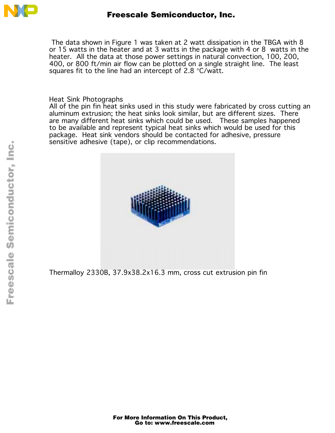

 The data shown in Figure 1 was taken at 2 watt dissipation in the TBGA with 8 or 15 watts in the heater and at 3 watts in the package with 4 or 8 watts in the heater. All the data at those power settings in natural convection, 100, 200, 400, or 800 ft/min air flow can be plotted on a single straight line. The least squares fit to the line had an intercept of 2.8 °C/watt.

Heat Sink Photographs

All of the pin fin heat sinks used in this study were fabricated by cross cutting an aluminum extrusion; the heat sinks look similar, but are different sizes. There are many different heat sinks which could be used. These samples happened to be available and represent typical heat sinks which would be used for this package. Heat sink vendors should be contacted for adhesive, pressure sensitive adhesive (tape), or clip recommendations.



Thermalloy 2330B, 37.9x38.2x16.3 mm, cross cut extrusion pin fin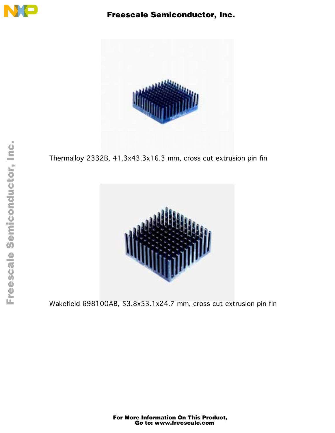

## Freescale Semiconductor, Inc.



Thermalloy 2332B, 41.3x43.3x16.3 mm, cross cut extrusion pin fin



Wakefield 698100AB, 53.8x53.1x24.7 mm, cross cut extrusion pin fin